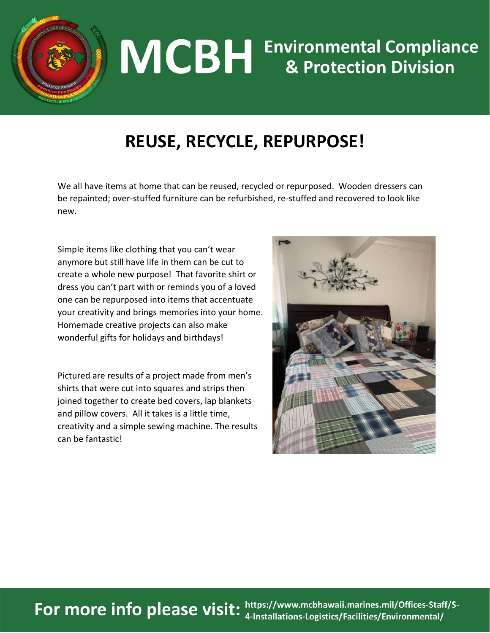

## **MCBH** Environmental Compliance

## **REUSE, RECYCLE, REPURPOSE!**

We all have items at home that can be reused, recycled or repurposed. Wooden dressers can be repainted; over-stuffed furniture can be refurbished, re-stuffed and recovered to look like new.

Simple items like clothing that you can't wear anymore but still have life in them can be cut to create a whole new purpose! That favorite shirt or dress you can't part with or reminds you of a loved one can be repurposed into items that accentuate your creativity and brings memories into your home. Homemade creative projects can also make wonderful gifts for holidays and birthdays!

Pictured are results of a project made from men's shirts that were cut into squares and strips then joined together to create bed covers, lap blankets and pillow covers. All it takes is a little time, creativity and a simple sewing machine. The results can be fantastic!